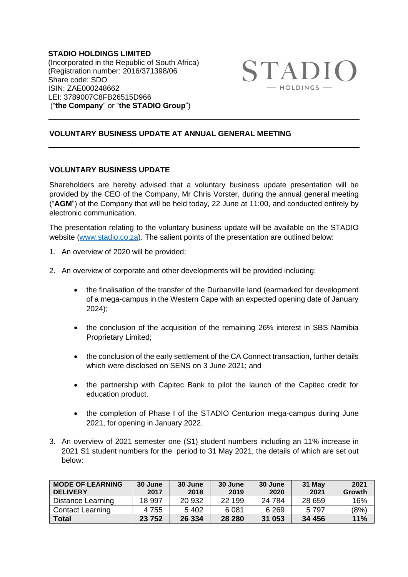**STADIO HOLDINGS LIMITED** (Incorporated in the Republic of South Africa) (Registration number: 2016/371398/06 Share code: SDO ISIN: ZAE000248662 LEI: 3789007C8FB26515D966 ("**the Company**" or "**the STADIO Group**")



## **VOLUNTARY BUSINESS UPDATE AT ANNUAL GENERAL MEETING**

## **VOLUNTARY BUSINESS UPDATE**

Shareholders are hereby advised that a voluntary business update presentation will be provided by the CEO of the Company, Mr Chris Vorster, during the annual general meeting ("**AGM**") of the Company that will be held today, 22 June at 11:00, and conducted entirely by electronic communication.

The presentation relating to the voluntary business update will be available on the STADIO website [\(www.stadio.co.za\)](http://www.stadio.co.za/). The salient points of the presentation are outlined below:

- 1. An overview of 2020 will be provided;
- 2. An overview of corporate and other developments will be provided including:
	- the finalisation of the transfer of the Durbanville land (earmarked for development of a mega-campus in the Western Cape with an expected opening date of January 2024);
	- the conclusion of the acquisition of the remaining 26% interest in SBS Namibia Proprietary Limited;
	- the conclusion of the early settlement of the CA Connect transaction, further details which were disclosed on SENS on 3 June 2021; and
	- the partnership with Capitec Bank to pilot the launch of the Capitec credit for education product.
	- the completion of Phase I of the STADIO Centurion mega-campus during June 2021, for opening in January 2022.
- 3. An overview of 2021 semester one (S1) student numbers including an 11% increase in 2021 S1 student numbers for the period to 31 May 2021, the details of which are set out below:

| <b>MODE OF LEARNING</b><br><b>DELIVERY</b> | 30 June<br>2017 | 30 June<br>2018 | 30 June<br>2019 | 30 June<br>2020 | 31 May<br>2021 | 2021<br>Growth |
|--------------------------------------------|-----------------|-----------------|-----------------|-----------------|----------------|----------------|
| Distance Learning                          | 18 997          | 20 932          | 22 199          | 24 7 84         | 28 659         | 16%            |
| <b>Contact Learning</b>                    | 4 755           | 5402            | 6 0 8 1         | 6 2 6 9         | 5 7 9 7        | (8%)           |
| <b>Total</b>                               | 23 752          | 26 334          | 28 280          | 31 053          | 34 456         | 11%            |